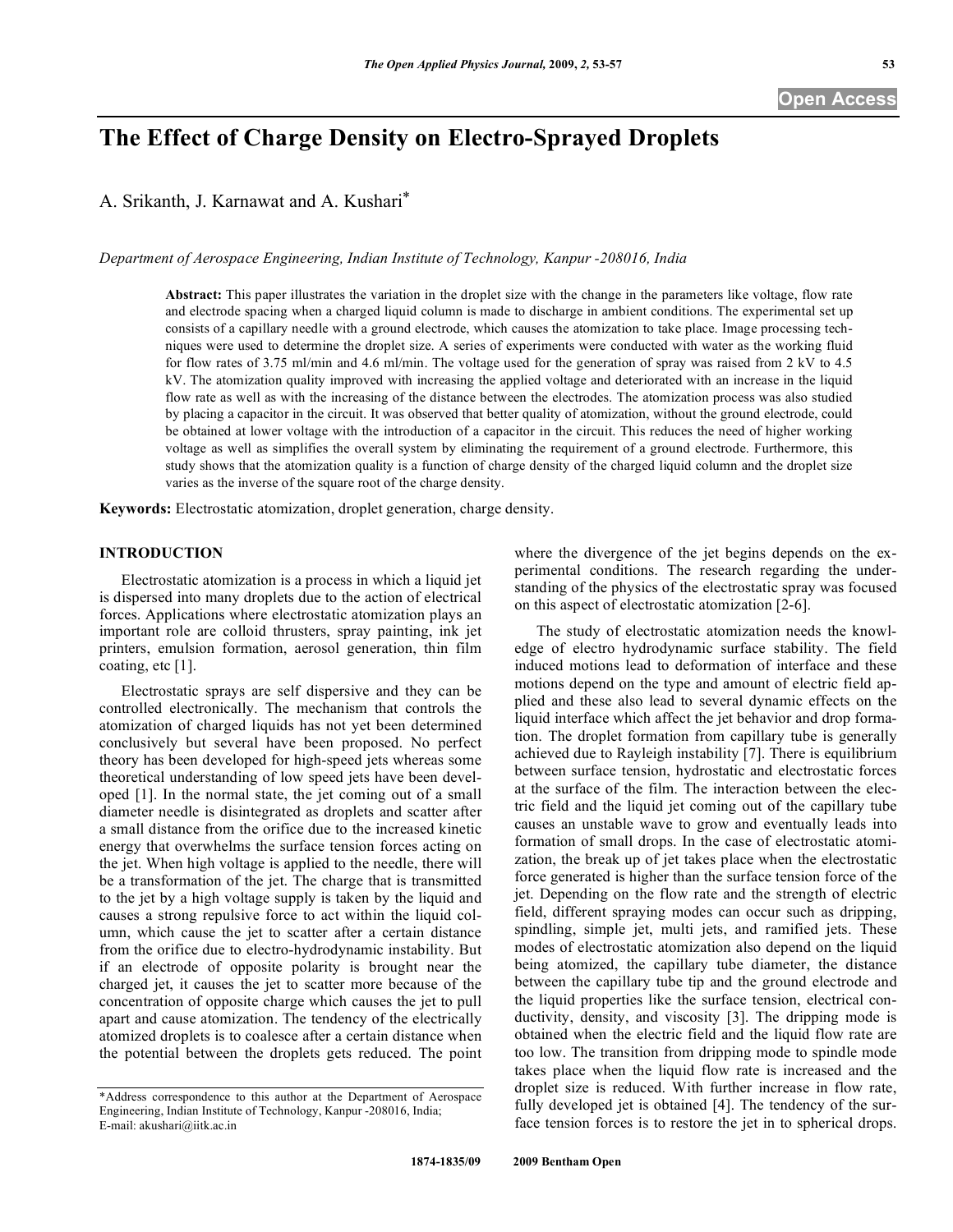# **The Effect of Charge Density on Electro-Sprayed Droplets**

A. Srikanth, J. Karnawat and A. Kushari\*

*Department of Aerospace Engineering, Indian Institute of Technology, Kanpur -208016, India*

**Abstract:** This paper illustrates the variation in the droplet size with the change in the parameters like voltage, flow rate and electrode spacing when a charged liquid column is made to discharge in ambient conditions. The experimental set up consists of a capillary needle with a ground electrode, which causes the atomization to take place. Image processing techniques were used to determine the droplet size. A series of experiments were conducted with water as the working fluid for flow rates of 3.75 ml/min and 4.6 ml/min. The voltage used for the generation of spray was raised from 2 kV to 4.5 kV. The atomization quality improved with increasing the applied voltage and deteriorated with an increase in the liquid flow rate as well as with the increasing of the distance between the electrodes. The atomization process was also studied by placing a capacitor in the circuit. It was observed that better quality of atomization, without the ground electrode, could be obtained at lower voltage with the introduction of a capacitor in the circuit. This reduces the need of higher working voltage as well as simplifies the overall system by eliminating the requirement of a ground electrode. Furthermore, this study shows that the atomization quality is a function of charge density of the charged liquid column and the droplet size varies as the inverse of the square root of the charge density.

**Keywords:** Electrostatic atomization, droplet generation, charge density.

## **INTRODUCTION**

Electrostatic atomization is a process in which a liquid jet is dispersed into many droplets due to the action of electrical forces. Applications where electrostatic atomization plays an important role are colloid thrusters, spray painting, ink jet printers, emulsion formation, aerosol generation, thin film coating, etc [1].

Electrostatic sprays are self dispersive and they can be controlled electronically. The mechanism that controls the atomization of charged liquids has not yet been determined conclusively but several have been proposed. No perfect theory has been developed for high-speed jets whereas some theoretical understanding of low speed jets have been developed [1]. In the normal state, the jet coming out of a small diameter needle is disintegrated as droplets and scatter after a small distance from the orifice due to the increased kinetic energy that overwhelms the surface tension forces acting on the jet. When high voltage is applied to the needle, there will be a transformation of the jet. The charge that is transmitted to the jet by a high voltage supply is taken by the liquid and causes a strong repulsive force to act within the liquid column, which cause the jet to scatter after a certain distance from the orifice due to electro-hydrodynamic instability. But if an electrode of opposite polarity is brought near the charged jet, it causes the jet to scatter more because of the concentration of opposite charge which causes the jet to pull apart and cause atomization. The tendency of the electrically atomized droplets is to coalesce after a certain distance when the potential between the droplets gets reduced. The point

where the divergence of the jet begins depends on the experimental conditions. The research regarding the understanding of the physics of the electrostatic spray was focused on this aspect of electrostatic atomization [2-6].

The study of electrostatic atomization needs the knowledge of electro hydrodynamic surface stability. The field induced motions lead to deformation of interface and these motions depend on the type and amount of electric field applied and these also lead to several dynamic effects on the liquid interface which affect the jet behavior and drop formation. The droplet formation from capillary tube is generally achieved due to Rayleigh instability [7]. There is equilibrium between surface tension, hydrostatic and electrostatic forces at the surface of the film. The interaction between the electric field and the liquid jet coming out of the capillary tube causes an unstable wave to grow and eventually leads into formation of small drops. In the case of electrostatic atomization, the break up of jet takes place when the electrostatic force generated is higher than the surface tension force of the jet. Depending on the flow rate and the strength of electric field, different spraying modes can occur such as dripping, spindling, simple jet, multi jets, and ramified jets. These modes of electrostatic atomization also depend on the liquid being atomized, the capillary tube diameter, the distance between the capillary tube tip and the ground electrode and the liquid properties like the surface tension, electrical conductivity, density, and viscosity [3]. The dripping mode is obtained when the electric field and the liquid flow rate are too low. The transition from dripping mode to spindle mode takes place when the liquid flow rate is increased and the droplet size is reduced. With further increase in flow rate, fully developed jet is obtained [4]. The tendency of the surface tension forces is to restore the jet in to spherical drops.

<sup>\*</sup>Address correspondence to this author at the Department of Aerospace Engineering, Indian Institute of Technology, Kanpur -208016, India; E-mail: akushari@iitk.ac.in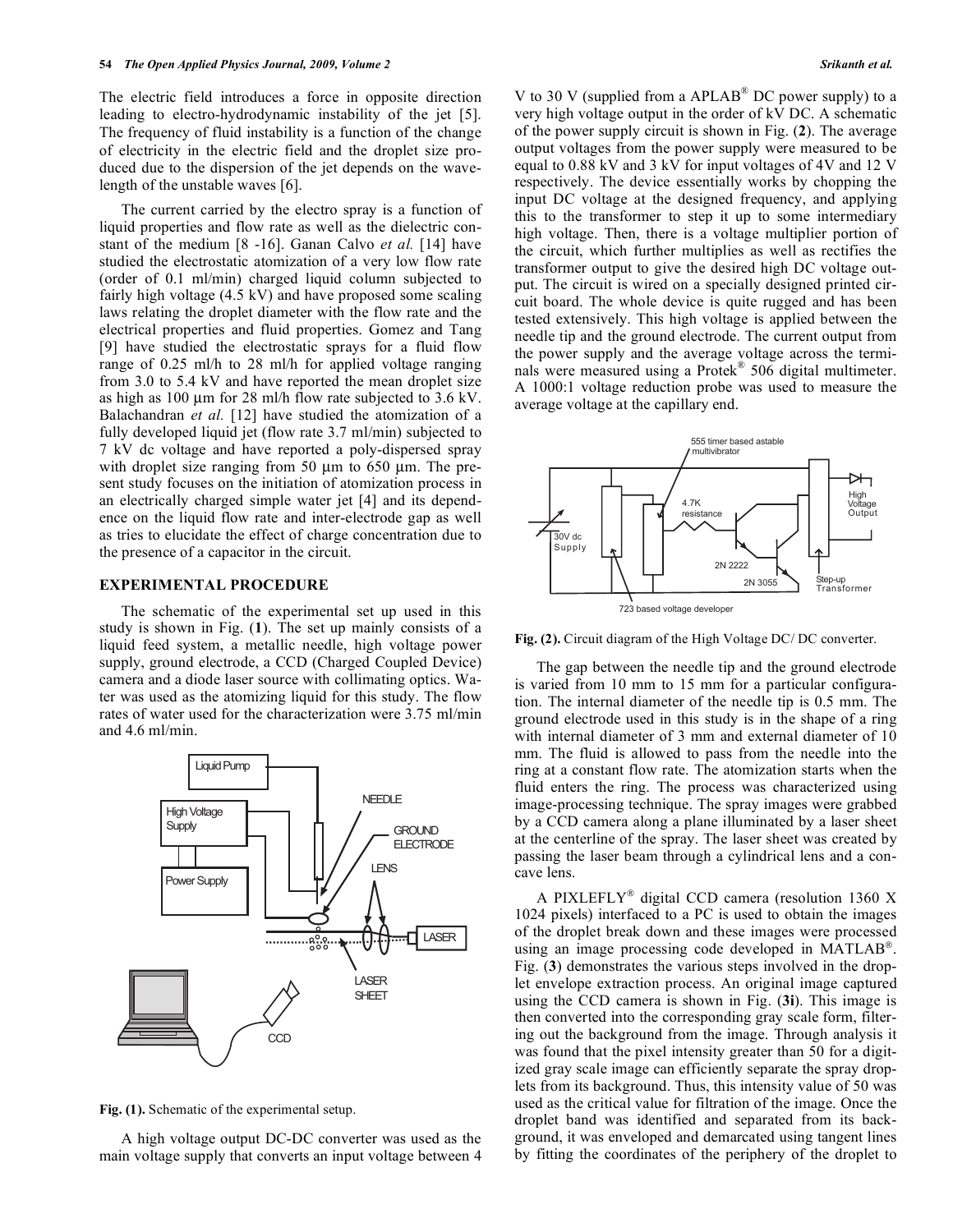The electric field introduces a force in opposite direction leading to electro-hydrodynamic instability of the jet [5]. The frequency of fluid instability is a function of the change of electricity in the electric field and the droplet size produced due to the dispersion of the jet depends on the wavelength of the unstable waves [6].

The current carried by the electro spray is a function of liquid properties and flow rate as well as the dielectric constant of the medium [8 -16]. Ganan Calvo *et al.* [14] have studied the electrostatic atomization of a very low flow rate (order of 0.1 ml/min) charged liquid column subjected to fairly high voltage (4.5 kV) and have proposed some scaling laws relating the droplet diameter with the flow rate and the electrical properties and fluid properties. Gomez and Tang [9] have studied the electrostatic sprays for a fluid flow range of 0.25 ml/h to 28 ml/h for applied voltage ranging from 3.0 to 5.4 kV and have reported the mean droplet size as high as 100 µm for 28 ml/h flow rate subjected to 3.6 kV. Balachandran *et al.* [12] have studied the atomization of a fully developed liquid jet (flow rate 3.7 ml/min) subjected to 7 kV dc voltage and have reported a poly-dispersed spray with droplet size ranging from 50  $\mu$ m to 650  $\mu$ m. The present study focuses on the initiation of atomization process in an electrically charged simple water jet [4] and its dependence on the liquid flow rate and inter-electrode gap as well as tries to elucidate the effect of charge concentration due to the presence of a capacitor in the circuit.

## **EXPERIMENTAL PROCEDURE**

The schematic of the experimental set up used in this study is shown in Fig. (**1**). The set up mainly consists of a liquid feed system, a metallic needle, high voltage power supply, ground electrode, a CCD (Charged Coupled Device) camera and a diode laser source with collimating optics. Water was used as the atomizing liquid for this study. The flow rates of water used for the characterization were 3.75 ml/min and 4.6 ml/min.



**Fig. (1).** Schematic of the experimental setup.

A high voltage output DC-DC converter was used as the main voltage supply that converts an input voltage between 4 V to 30 V (supplied from a APLAB<sup>®</sup> DC power supply) to a very high voltage output in the order of kV DC. A schematic of the power supply circuit is shown in Fig. (**2**). The average output voltages from the power supply were measured to be equal to 0.88 kV and 3 kV for input voltages of 4V and 12 V respectively. The device essentially works by chopping the input DC voltage at the designed frequency, and applying this to the transformer to step it up to some intermediary high voltage. Then, there is a voltage multiplier portion of the circuit, which further multiplies as well as rectifies the transformer output to give the desired high DC voltage output. The circuit is wired on a specially designed printed circuit board. The whole device is quite rugged and has been tested extensively. This high voltage is applied between the needle tip and the ground electrode. The current output from the power supply and the average voltage across the terminals were measured using a Protek® 506 digital multimeter. A 1000:1 voltage reduction probe was used to measure the average voltage at the capillary end.



**Fig. (2).** Circuit diagram of the High Voltage DC/ DC converter.

The gap between the needle tip and the ground electrode is varied from 10 mm to 15 mm for a particular configuration. The internal diameter of the needle tip is 0.5 mm. The ground electrode used in this study is in the shape of a ring with internal diameter of 3 mm and external diameter of 10 mm. The fluid is allowed to pass from the needle into the ring at a constant flow rate. The atomization starts when the fluid enters the ring. The process was characterized using image-processing technique. The spray images were grabbed by a CCD camera along a plane illuminated by a laser sheet at the centerline of the spray. The laser sheet was created by passing the laser beam through a cylindrical lens and a concave lens.

A PIXLEFLY® digital CCD camera (resolution 1360 X 1024 pixels) interfaced to a PC is used to obtain the images of the droplet break down and these images were processed using an image processing code developed in MATLAB®. Fig. (**3**) demonstrates the various steps involved in the droplet envelope extraction process. An original image captured using the CCD camera is shown in Fig. (**3i**). This image is then converted into the corresponding gray scale form, filtering out the background from the image. Through analysis it was found that the pixel intensity greater than 50 for a digitized gray scale image can efficiently separate the spray droplets from its background. Thus, this intensity value of 50 was used as the critical value for filtration of the image. Once the droplet band was identified and separated from its background, it was enveloped and demarcated using tangent lines by fitting the coordinates of the periphery of the droplet to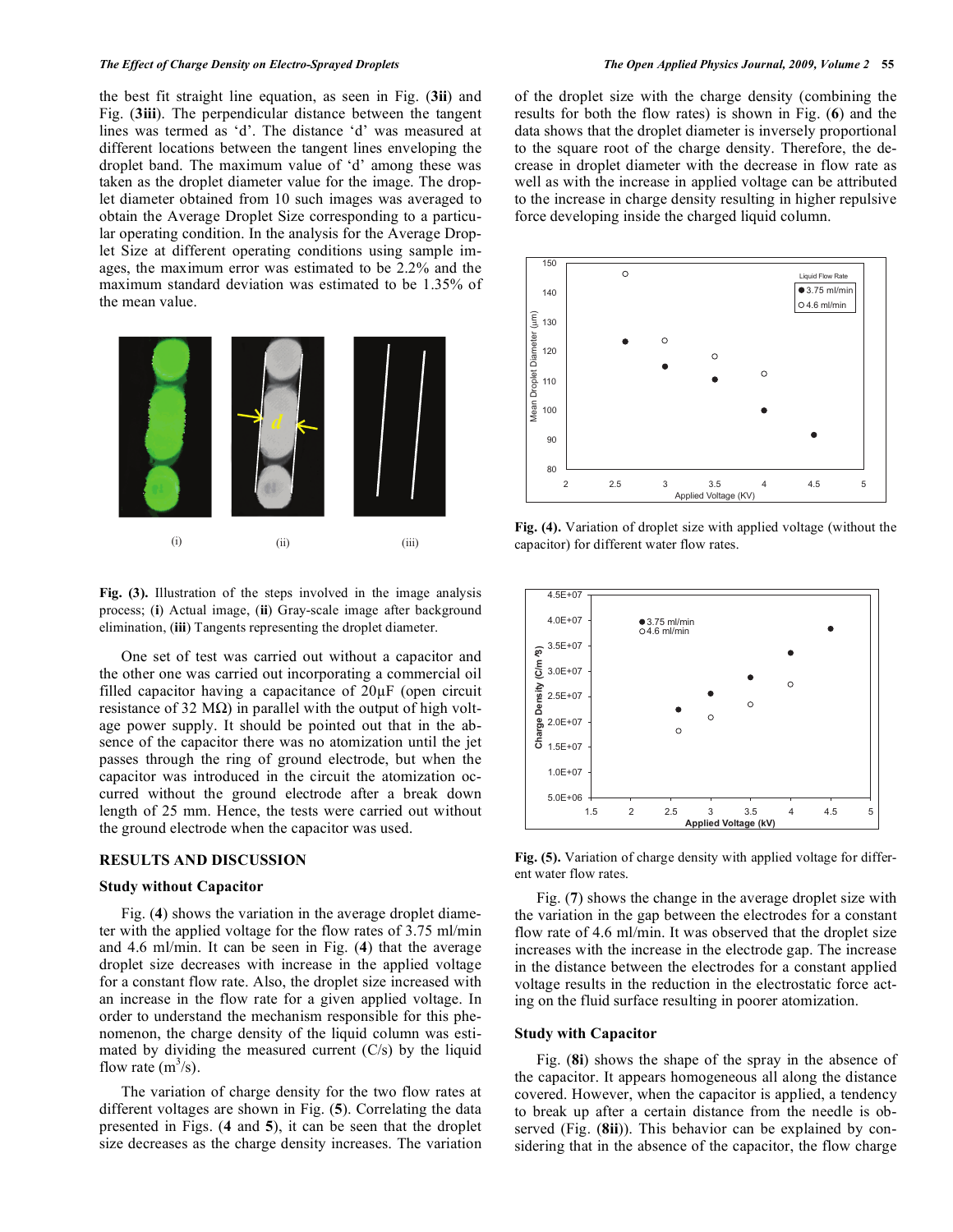#### *The Effect of Charge Density on Electro-Sprayed Droplets The Open Applied Physics Journal, 2009, Volume 2* **55**

the best fit straight line equation, as seen in Fig. (**3ii**) and Fig. (**3iii**). The perpendicular distance between the tangent lines was termed as 'd'. The distance 'd' was measured at different locations between the tangent lines enveloping the droplet band. The maximum value of 'd' among these was taken as the droplet diameter value for the image. The droplet diameter obtained from 10 such images was averaged to obtain the Average Droplet Size corresponding to a particular operating condition. In the analysis for the Average Droplet Size at different operating conditions using sample images, the maximum error was estimated to be 2.2% and the maximum standard deviation was estimated to be 1.35% of the mean value.



**Fig. (3).** Illustration of the steps involved in the image analysis process; (**i**) Actual image, (**ii**) Gray-scale image after background elimination, (**iii**) Tangents representing the droplet diameter.

One set of test was carried out without a capacitor and the other one was carried out incorporating a commercial oil filled capacitor having a capacitance of 20µF (open circuit resistance of 32 M $\Omega$ ) in parallel with the output of high voltage power supply. It should be pointed out that in the absence of the capacitor there was no atomization until the jet passes through the ring of ground electrode, but when the capacitor was introduced in the circuit the atomization occurred without the ground electrode after a break down length of 25 mm. Hence, the tests were carried out without the ground electrode when the capacitor was used.

# **RESULTS AND DISCUSSION**

#### **Study without Capacitor**

Fig. (**4**) shows the variation in the average droplet diameter with the applied voltage for the flow rates of 3.75 ml/min and 4.6 ml/min. It can be seen in Fig. (**4**) that the average droplet size decreases with increase in the applied voltage for a constant flow rate. Also, the droplet size increased with an increase in the flow rate for a given applied voltage. In order to understand the mechanism responsible for this phenomenon, the charge density of the liquid column was estimated by dividing the measured current  $(C/s)$  by the liquid flow rate  $(m^3/s)$ .

The variation of charge density for the two flow rates at different voltages are shown in Fig. (**5**). Correlating the data presented in Figs. (**4** and **5**), it can be seen that the droplet size decreases as the charge density increases. The variation

of the droplet size with the charge density (combining the results for both the flow rates) is shown in Fig. (**6**) and the data shows that the droplet diameter is inversely proportional to the square root of the charge density. Therefore, the decrease in droplet diameter with the decrease in flow rate as well as with the increase in applied voltage can be attributed to the increase in charge density resulting in higher repulsive force developing inside the charged liquid column.



**Fig. (4).** Variation of droplet size with applied voltage (without the capacitor) for different water flow rates.



**Fig. (5).** Variation of charge density with applied voltage for different water flow rates.

Fig. (**7**) shows the change in the average droplet size with the variation in the gap between the electrodes for a constant flow rate of 4.6 ml/min. It was observed that the droplet size increases with the increase in the electrode gap. The increase in the distance between the electrodes for a constant applied voltage results in the reduction in the electrostatic force acting on the fluid surface resulting in poorer atomization.

## **Study with Capacitor**

Fig. (**8i**) shows the shape of the spray in the absence of the capacitor. It appears homogeneous all along the distance covered. However, when the capacitor is applied, a tendency to break up after a certain distance from the needle is observed (Fig. (**8ii**)). This behavior can be explained by considering that in the absence of the capacitor, the flow charge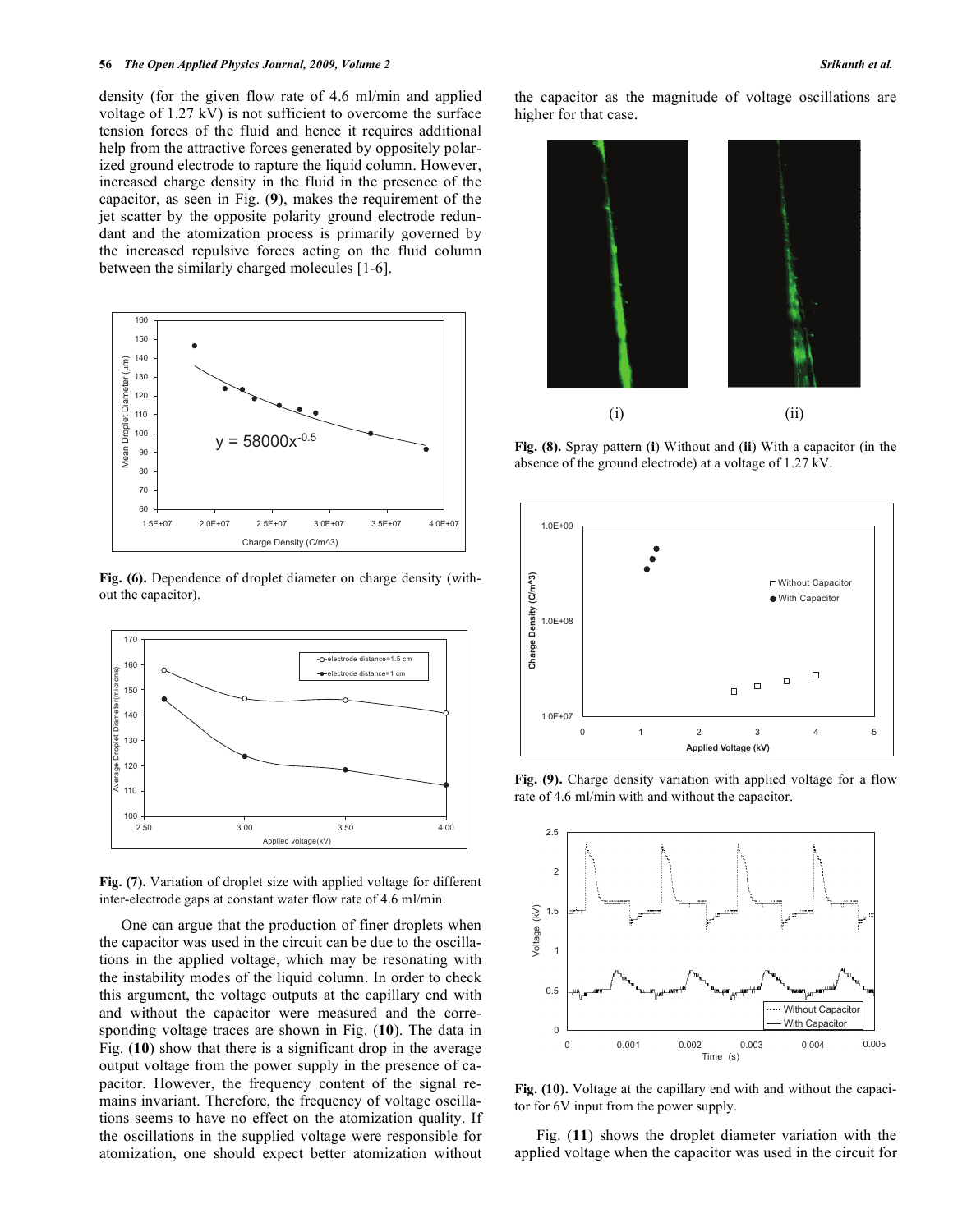density (for the given flow rate of 4.6 ml/min and applied voltage of 1.27 kV) is not sufficient to overcome the surface tension forces of the fluid and hence it requires additional help from the attractive forces generated by oppositely polarized ground electrode to rapture the liquid column. However, increased charge density in the fluid in the presence of the capacitor, as seen in Fig. (**9**), makes the requirement of the jet scatter by the opposite polarity ground electrode redundant and the atomization process is primarily governed by the increased repulsive forces acting on the fluid column between the similarly charged molecules [1-6].



**Fig. (6).** Dependence of droplet diameter on charge density (without the capacitor).



**Fig. (7).** Variation of droplet size with applied voltage for different inter-electrode gaps at constant water flow rate of 4.6 ml/min.

One can argue that the production of finer droplets when the capacitor was used in the circuit can be due to the oscillations in the applied voltage, which may be resonating with the instability modes of the liquid column. In order to check this argument, the voltage outputs at the capillary end with and without the capacitor were measured and the corresponding voltage traces are shown in Fig. (**10**). The data in Fig. (**10**) show that there is a significant drop in the average output voltage from the power supply in the presence of capacitor. However, the frequency content of the signal remains invariant. Therefore, the frequency of voltage oscillations seems to have no effect on the atomization quality. If the oscillations in the supplied voltage were responsible for atomization, one should expect better atomization without

the capacitor as the magnitude of voltage oscillations are higher for that case.



**Fig. (8).** Spray pattern (**i**) Without and (**ii**) With a capacitor (in the absence of the ground electrode) at a voltage of 1.27 kV.



**Fig. (9).** Charge density variation with applied voltage for a flow rate of 4.6 ml/min with and without the capacitor.



**Fig. (10).** Voltage at the capillary end with and without the capacitor for 6V input from the power supply.

Fig. (**11**) shows the droplet diameter variation with the applied voltage when the capacitor was used in the circuit for